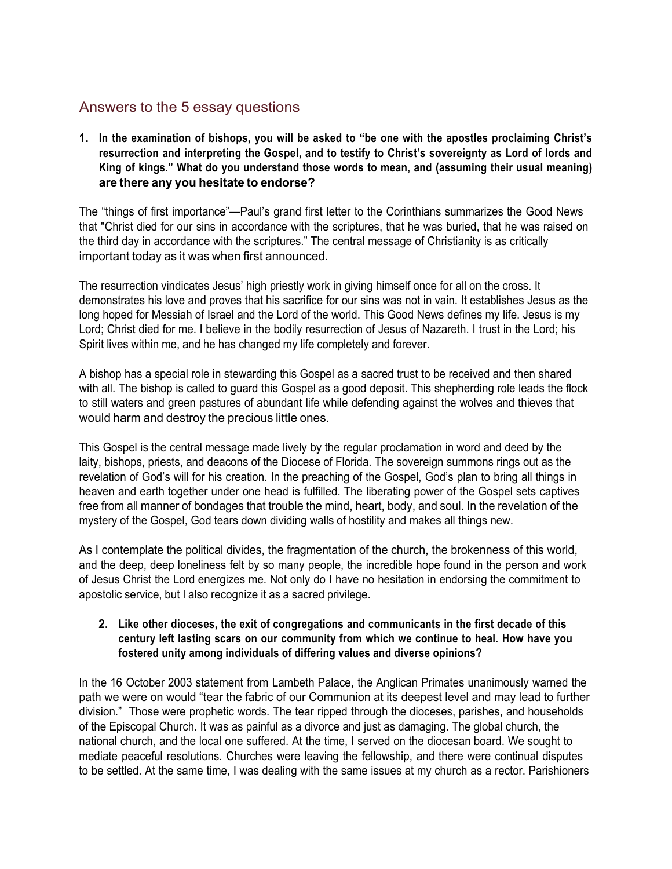# Answers to the 5 essay questions

**1. In the examination of bishops, you will be asked to "be one with the apostles proclaiming Christ's resurrection and interpreting the Gospel, and to testify to Christ's sovereignty as Lord of lords and King of kings." What do you understand those words to mean, and (assuming their usual meaning) are there any you hesitate to endorse?**

The "things of first importance"—Paul's grand first letter to the Corinthians summarizes the Good News that "Christ died for our sins in accordance with the scriptures, that he was buried, that he was raised on the third day in accordance with the scriptures." The central message of Christianity is as critically important today as it was when first announced.

The resurrection vindicates Jesus' high priestly work in giving himself once for all on the cross. It demonstrates his love and proves that his sacrifice for our sins was not in vain. It establishes Jesus as the long hoped for Messiah of Israel and the Lord of the world. This Good News defines my life. Jesus is my Lord; Christ died for me. I believe in the bodily resurrection of Jesus of Nazareth. I trust in the Lord; his Spirit lives within me, and he has changed my life completely and forever.

A bishop has a special role in stewarding this Gospel as a sacred trust to be received and then shared with all. The bishop is called to guard this Gospel as a good deposit. This shepherding role leads the flock to still waters and green pastures of abundant life while defending against the wolves and thieves that would harm and destroy the precious little ones.

This Gospel is the central message made lively by the regular proclamation in word and deed by the laity, bishops, priests, and deacons of the Diocese of Florida. The sovereign summons rings out as the revelation of God's will for his creation. In the preaching of the Gospel, God's plan to bring all things in heaven and earth together under one head is fulfilled. The liberating power of the Gospel sets captives free from all manner of bondages that trouble the mind, heart, body, and soul. In the revelation of the mystery of the Gospel, God tears down dividing walls of hostility and makes all things new.

As I contemplate the political divides, the fragmentation of the church, the brokenness of this world, and the deep, deep loneliness felt by so many people, the incredible hope found in the person and work of Jesus Christ the Lord energizes me. Not only do I have no hesitation in endorsing the commitment to apostolic service, but I also recognize it as a sacred privilege.

## **2. Like other dioceses, the exit of congregations and communicants in the first decade of this century left lasting scars on our community from which we continue to heal. How have you fostered unity among individuals of differing values and diverse opinions?**

In the 16 October 2003 statement from Lambeth Palace, the Anglican Primates unanimously warned the path we were on would "tear the fabric of our Communion at its deepest level and may lead to further division." Those were prophetic words. The tear ripped through the dioceses, parishes, and households of the Episcopal Church. It was as painful as a divorce and just as damaging. The global church, the national church, and the local one suffered. At the time, I served on the diocesan board. We sought to mediate peaceful resolutions. Churches were leaving the fellowship, and there were continual disputes to be settled. At the same time, I was dealing with the same issues at my church as a rector. Parishioners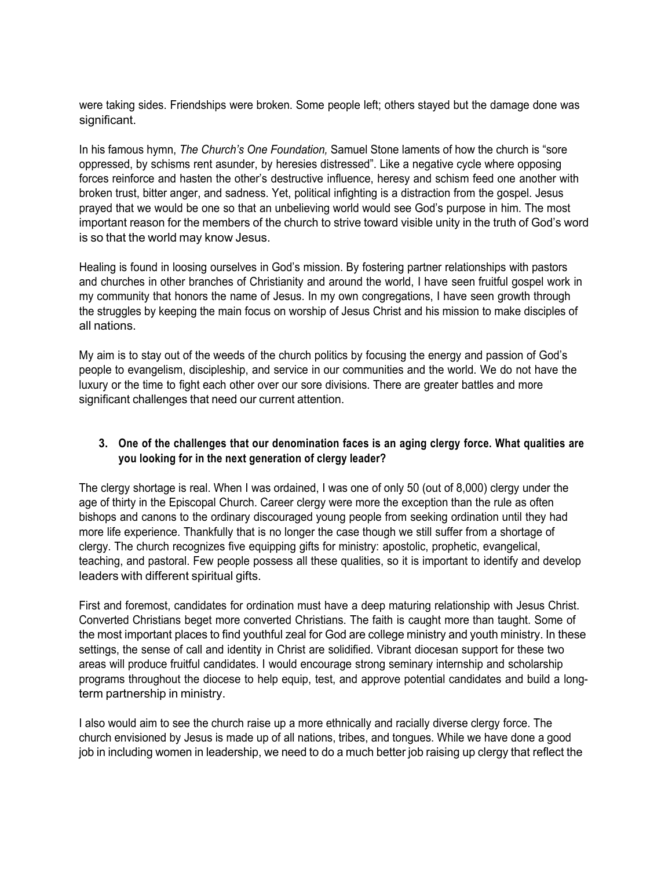were taking sides. Friendships were broken. Some people left; others stayed but the damage done was significant.

In his famous hymn, *The Church's One Foundation,* Samuel Stone laments of how the church is "sore oppressed, by schisms rent asunder, by heresies distressed". Like a negative cycle where opposing forces reinforce and hasten the other's destructive influence, heresy and schism feed one another with broken trust, bitter anger, and sadness. Yet, political infighting is a distraction from the gospel. Jesus prayed that we would be one so that an unbelieving world would see God's purpose in him. The most important reason for the members of the church to strive toward visible unity in the truth of God's word is so that the world may know Jesus.

Healing is found in loosing ourselves in God's mission. By fostering partner relationships with pastors and churches in other branches of Christianity and around the world, I have seen fruitful gospel work in my community that honors the name of Jesus. In my own congregations, I have seen growth through the struggles by keeping the main focus on worship of Jesus Christ and his mission to make disciples of all nations.

My aim is to stay out of the weeds of the church politics by focusing the energy and passion of God's people to evangelism, discipleship, and service in our communities and the world. We do not have the luxury or the time to fight each other over our sore divisions. There are greater battles and more significant challenges that need our current attention.

## **3. One of the challenges that our denomination faces is an aging clergy force. What qualities are you looking for in the next generation of clergy leader?**

The clergy shortage is real. When I was ordained, I was one of only 50 (out of 8,000) clergy under the age of thirty in the Episcopal Church. Career clergy were more the exception than the rule as often bishops and canons to the ordinary discouraged young people from seeking ordination until they had more life experience. Thankfully that is no longer the case though we still suffer from a shortage of clergy. The church recognizes five equipping gifts for ministry: apostolic, prophetic, evangelical, teaching, and pastoral. Few people possess all these qualities, so it is important to identify and develop leaders with different spiritual gifts.

First and foremost, candidates for ordination must have a deep maturing relationship with Jesus Christ. Converted Christians beget more converted Christians. The faith is caught more than taught. Some of the most important places to find youthful zeal for God are college ministry and youth ministry. In these settings, the sense of call and identity in Christ are solidified. Vibrant diocesan support for these two areas will produce fruitful candidates. I would encourage strong seminary internship and scholarship programs throughout the diocese to help equip, test, and approve potential candidates and build a longterm partnership in ministry.

I also would aim to see the church raise up a more ethnically and racially diverse clergy force. The church envisioned by Jesus is made up of all nations, tribes, and tongues. While we have done a good job in including women in leadership, we need to do a much better job raising up clergy that reflect the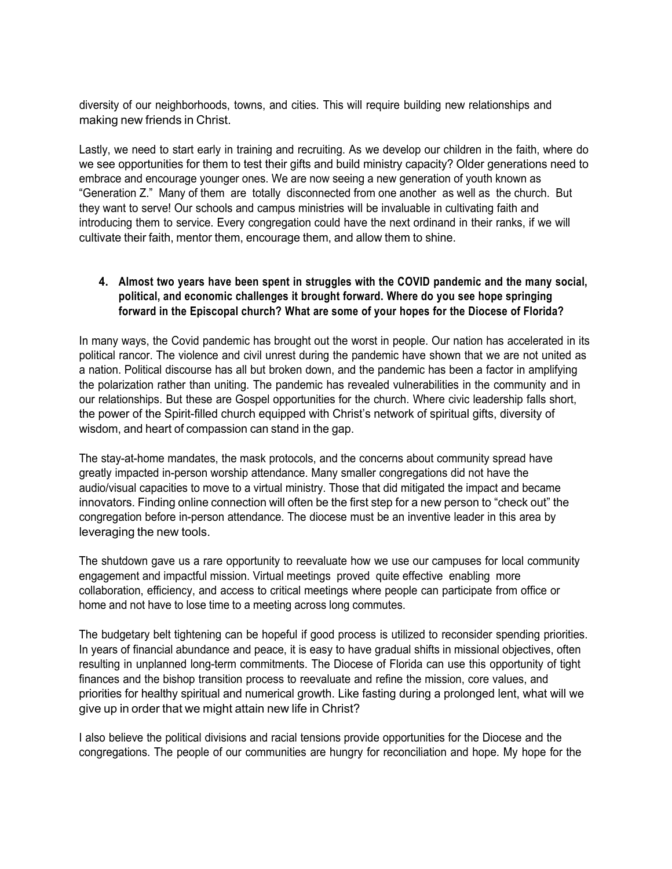diversity of our neighborhoods, towns, and cities. This will require building new relationships and making new friends in Christ.

Lastly, we need to start early in training and recruiting. As we develop our children in the faith, where do we see opportunities for them to test their gifts and build ministry capacity? Older generations need to embrace and encourage younger ones. We are now seeing a new generation of youth known as "Generation Z." Many of them are totally disconnected from one another as well as the church. But they want to serve! Our schools and campus ministries will be invaluable in cultivating faith and introducing them to service. Every congregation could have the next ordinand in their ranks, if we will cultivate their faith, mentor them, encourage them, and allow them to shine.

## **4. Almost two years have been spent in struggles with the COVID pandemic and the many social, political, and economic challenges it brought forward. Where do you see hope springing forward in the Episcopal church? What are some of your hopes for the Diocese of Florida?**

In many ways, the Covid pandemic has brought out the worst in people. Our nation has accelerated in its political rancor. The violence and civil unrest during the pandemic have shown that we are not united as a nation. Political discourse has all but broken down, and the pandemic has been a factor in amplifying the polarization rather than uniting. The pandemic has revealed vulnerabilities in the community and in our relationships. But these are Gospel opportunities for the church. Where civic leadership falls short, the power of the Spirit-filled church equipped with Christ's network of spiritual gifts, diversity of wisdom, and heart of compassion can stand in the gap.

The stay-at-home mandates, the mask protocols, and the concerns about community spread have greatly impacted in-person worship attendance. Many smaller congregations did not have the audio/visual capacities to move to a virtual ministry. Those that did mitigated the impact and became innovators. Finding online connection will often be the first step for a new person to "check out" the congregation before in-person attendance. The diocese must be an inventive leader in this area by leveraging the new tools.

The shutdown gave us a rare opportunity to reevaluate how we use our campuses for local community engagement and impactful mission. Virtual meetings proved quite effective enabling more collaboration, efficiency, and access to critical meetings where people can participate from office or home and not have to lose time to a meeting across long commutes.

The budgetary belt tightening can be hopeful if good process is utilized to reconsider spending priorities. In years of financial abundance and peace, it is easy to have gradual shifts in missional objectives, often resulting in unplanned long-term commitments. The Diocese of Florida can use this opportunity of tight finances and the bishop transition process to reevaluate and refine the mission, core values, and priorities for healthy spiritual and numerical growth. Like fasting during a prolonged lent, what will we give up in order that we might attain new life in Christ?

I also believe the political divisions and racial tensions provide opportunities for the Diocese and the congregations. The people of our communities are hungry for reconciliation and hope. My hope for the